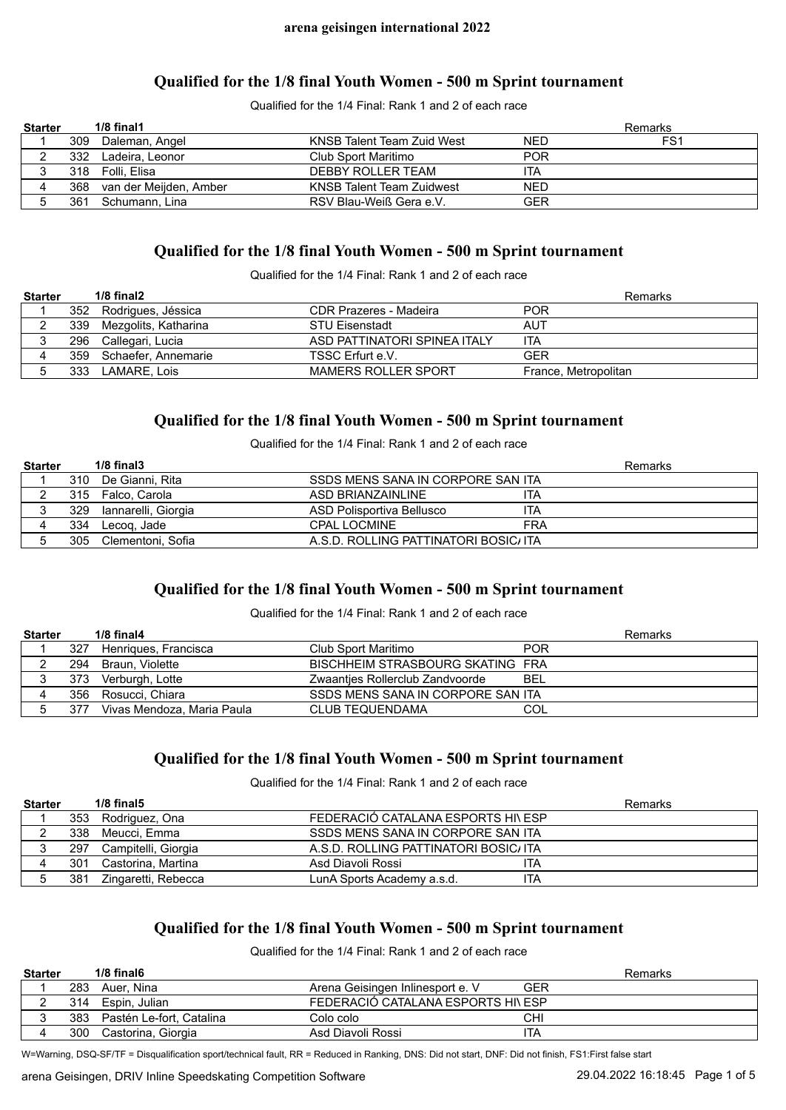## **Qualified for the 1/8 final Youth Women - 500 m Sprint tournament**

Qualified for the 1/4 Final: Rank 1 and 2 of each race

| <b>Starter</b> |     | $1/8$ final $1$            |                                  |            | Remarks         |
|----------------|-----|----------------------------|----------------------------------|------------|-----------------|
|                | 309 | Daleman, Angel             | KNSB Talent Team Zuid West       | <b>NED</b> | FS <sub>1</sub> |
|                | 332 | Ladeira. Leonor            | Club Sport Maritimo              | <b>POR</b> |                 |
|                |     | 318 Folli, Elisa           | DEBBY ROLLER TEAM                | ITA        |                 |
|                |     | 368 van der Meijden, Amber | <b>KNSB Talent Team Zuidwest</b> | <b>NED</b> |                 |
|                |     | 361 Schumann, Lina         | RSV Blau-Weiß Gera e.V.          | GER        |                 |

## **Qualified for the 1/8 final Youth Women - 500 m Sprint tournament**

Qualified for the 1/4 Final: Rank 1 and 2 of each race

| <b>Starter</b> |     | $1/8$ final $2$          |                              | Remarks              |
|----------------|-----|--------------------------|------------------------------|----------------------|
|                |     | 352 Rodrigues, Jéssica   | CDR Prazeres - Madeira       | <b>POR</b>           |
|                |     | 339 Mezgolits, Katharina | <b>STU Eisenstadt</b>        | AUT                  |
|                |     | 296 Callegari, Lucia     | ASD PATTINATORI SPINEA ITALY | ita                  |
|                |     | 359 Schaefer, Annemarie  | TSSC Erfurt e.V.             | GFR                  |
|                | 333 | LAMARE. Lois             | <b>MAMERS ROLLER SPORT</b>   | France, Metropolitan |

## **Qualified for the 1/8 final Youth Women - 500 m Sprint tournament**

Qualified for the 1/4 Final: Rank 1 and 2 of each race

| <b>Starter</b> |     | $1/8$ final $3$         |                                       | Remarks |
|----------------|-----|-------------------------|---------------------------------------|---------|
|                | 310 | De Gianni. Rita         | SSDS MENS SANA IN CORPORE SAN ITA     |         |
|                |     | 315 Falco, Carola       | ita<br>ASD BRIANZAINLINE              |         |
|                |     | 329 Iannarelli, Giorgia | ITA<br>ASD Polisportiva Bellusco      |         |
|                |     | 334 Lecog, Jade         | <b>FRA</b><br><b>CPAL LOCMINE</b>     |         |
|                | 305 | Clementoni. Sofia       | A.S.D. ROLLING PATTINATORI BOSIC/ ITA |         |

# **Qualified for the 1/8 final Youth Women - 500 m Sprint tournament**

#### Qualified for the 1/4 Final: Rank 1 and 2 of each race

| <b>Starter</b> |     | $1/8$ final 4              |                                   | Remarks    |
|----------------|-----|----------------------------|-----------------------------------|------------|
|                | 327 | Henriques, Francisca       | Club Sport Maritimo               | <b>POR</b> |
|                | 294 | Braun. Violette            | BISCHHEIM STRASBOURG SKATING FRA  |            |
|                | 373 | Verburgh, Lotte            | Zwaanties Rollerclub Zandvoorde   | BEL        |
|                |     | 356 Rosucci, Chiara        | SSDS MENS SANA IN CORPORE SAN ITA |            |
|                | 377 | Vivas Mendoza, Maria Paula | <b>CLUB TEQUENDAMA</b>            | COL        |

# **Qualified for the 1/8 final Youth Women - 500 m Sprint tournament**

Qualified for the 1/4 Final: Rank 1 and 2 of each race

| <b>Starter</b> |     | $1/8$ final $5$     |                                       | Remarks |
|----------------|-----|---------------------|---------------------------------------|---------|
|                |     | 353 Rodriguez, Ona  | FEDERACIÓ CATALANA ESPORTS HI\ ESP    |         |
|                | 338 | Meucci. Emma        | SSDS MENS SANA IN CORPORE SAN ITA     |         |
|                | 297 | Campitelli, Giorgia | A.S.D. ROLLING PATTINATORI BOSIC/ ITA |         |
|                | 301 | Castorina. Martina  | Asd Diavoli Rossi<br>ITA              |         |
|                | 381 | Zingaretti, Rebecca | LunA Sports Academy a.s.d.<br>ita     |         |

# **Qualified for the 1/8 final Youth Women - 500 m Sprint tournament**

Qualified for the 1/4 Final: Rank 1 and 2 of each race

| <b>Starter</b> |     | $1/8$ final 6            |                                   |     | Remarks |
|----------------|-----|--------------------------|-----------------------------------|-----|---------|
|                | 283 | Auer. Nina               | Arena Geisingen Inlinesport e. V  | GER |         |
|                | 314 | Espin. Julian            | FEDERACIÓ CATALANA ESPORTS HIVESP |     |         |
|                | 383 | Pastén Le-fort. Catalina | Colo colo                         | CHI |         |
|                | 300 | Castorina, Giorgia       | Asd Diavoli Rossi                 | ITA |         |

W=Warning, DSQ-SF/TF = Disqualification sport/technical fault, RR = Reduced in Ranking, DNS: Did not start, DNF: Did not finish, FS1:First false start

arena Geisingen, DRIV Inline Speedskating Competition Software 29.04.2022 16:18:45 Page 1 of 5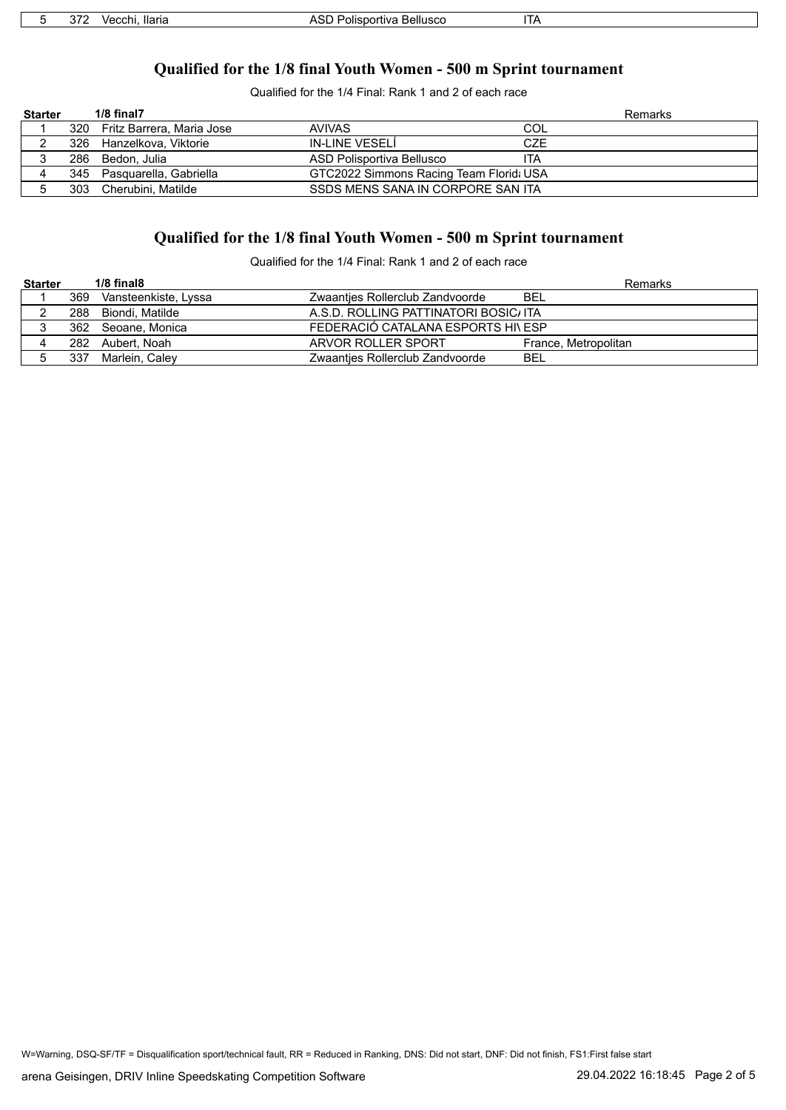# **Qualified for the 1/8 final Youth Women - 500 m Sprint tournament**

Qualified for the 1/4 Final: Rank 1 and 2 of each race

| <b>Starter</b> |     | 1/8 final7                    |                                         | Remarks |
|----------------|-----|-------------------------------|-----------------------------------------|---------|
|                |     | 320 Fritz Barrera, Maria Jose | <b>AVIVAS</b><br>COL                    |         |
|                | 326 | Hanzelkova, Viktorie          | IN-LINE VESELÍ<br>CZE                   |         |
|                |     | 286 Bedon, Julia              | ASD Polisportiva Bellusco<br>ITA        |         |
|                |     | 345 Pasquarella, Gabriella    | GTC2022 Simmons Racing Team Florid: USA |         |
|                | 303 | Cherubini. Matilde            | SSDS MENS SANA IN CORPORE SAN ITA       |         |

# **Qualified for the 1/8 final Youth Women - 500 m Sprint tournament**

Qualified for the 1/4 Final: Rank 1 and 2 of each race

| <b>Starter</b> |     | $1/8$ final $8$      |                                       | Remarks              |
|----------------|-----|----------------------|---------------------------------------|----------------------|
|                | 369 | Vansteenkiste, Lyssa | Zwaanties Rollerclub Zandvoorde       | BEL                  |
|                | 288 | Biondi. Matilde      | A.S.D. ROLLING PATTINATORI BOSIC/ ITA |                      |
|                |     | 362 Seoane, Monica   | FEDERACIÓ CATALANA ESPORTS HI\ ESP    |                      |
|                |     | 282 Aubert, Noah     | ARVOR ROLLER SPORT                    | France, Metropolitan |
|                | 337 | Marlein, Caley       | Zwaantjes Rollerclub Zandvoorde       | BEL                  |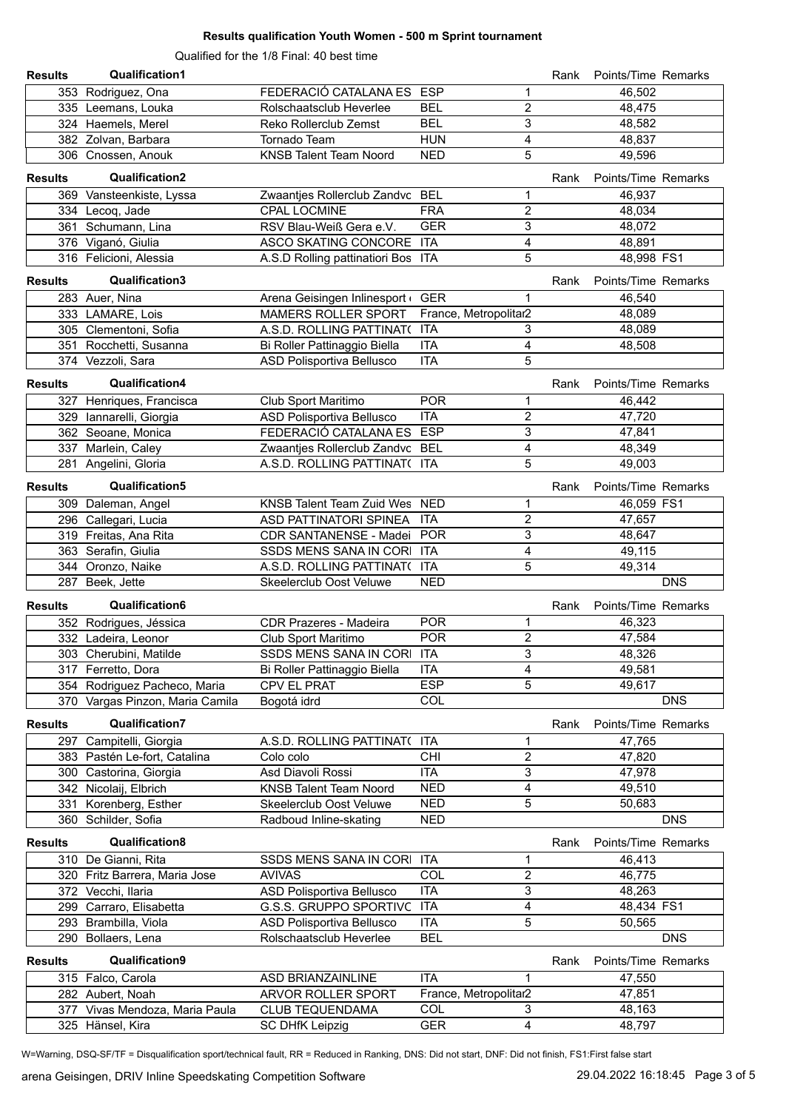### **Results qualification Youth Women - 500 m Sprint tournament**

Qualified for the 1/8 Final: 40 best time

| <b>Results</b> | <b>Qualification1</b>           |                                    |                                       | Rank | Points/Time Remarks |
|----------------|---------------------------------|------------------------------------|---------------------------------------|------|---------------------|
|                | 353 Rodriguez, Ona              | FEDERACIÓ CATALANA ES ESP          | 1                                     |      | 46,502              |
|                | 335 Leemans, Louka              | Rolschaatsclub Heverlee            | $\overline{c}$<br><b>BEL</b>          |      | 48,475              |
|                | 324 Haemels, Merel              | Reko Rollerclub Zemst              | $\overline{3}$<br><b>BEL</b>          |      | 48,582              |
|                | 382 Zolvan, Barbara             | Tornado Team                       | 4<br><b>HUN</b>                       |      | 48,837              |
|                | 306 Cnossen, Anouk              | <b>KNSB Talent Team Noord</b>      | 5<br><b>NED</b>                       |      | 49,596              |
| <b>Results</b> | <b>Qualification2</b>           |                                    |                                       | Rank | Points/Time Remarks |
|                | 369 Vansteenkiste, Lyssa        | Zwaantjes Rollerclub Zandvc BEL    | 1                                     |      | 46,937              |
|                | 334 Lecoq, Jade                 | <b>CPAL LOCMINE</b>                | <b>FRA</b><br>2                       |      | 48,034              |
|                | 361 Schumann, Lina              | RSV Blau-Weiß Gera e.V.            | 3<br><b>GER</b>                       |      | 48,072              |
|                | 376 Viganó, Giulia              | ASCO SKATING CONCORE ITA           | $\overline{4}$                        |      | 48,891              |
|                | 316 Felicioni, Alessia          | A.S.D Rolling pattinatiori Bos ITA | 5                                     |      | 48,998 FS1          |
| <b>Results</b> | Qualification3                  |                                    |                                       | Rank | Points/Time Remarks |
|                | 283 Auer, Nina                  | Arena Geisingen Inlinesport        | <b>GER</b><br>1                       |      | 46,540              |
|                | 333 LAMARE, Lois                | <b>MAMERS ROLLER SPORT</b>         | France, Metropolitar2                 |      | 48,089              |
|                | 305 Clementoni, Sofia           | A.S.D. ROLLING PATTINAT(           | <b>ITA</b><br>3                       |      | 48,089              |
|                | 351 Rocchetti, Susanna          | Bi Roller Pattinaggio Biella       | $\overline{4}$<br><b>ITA</b>          |      | 48,508              |
|                | 374 Vezzoli, Sara               | ASD Polisportiva Bellusco          | 5<br><b>ITA</b>                       |      |                     |
| <b>Results</b> | Qualification4                  |                                    |                                       | Rank | Points/Time Remarks |
|                | 327 Henriques, Francisca        | Club Sport Maritimo                | <b>POR</b><br>1                       |      | 46,442              |
|                | 329 Iannarelli, Giorgia         | ASD Polisportiva Bellusco          | $\overline{c}$<br><b>ITA</b>          |      | 47,720              |
|                | 362 Seoane, Monica              | FEDERACIÓ CATALANA ES ESP          | $\overline{3}$                        |      | 47,841              |
|                | 337 Marlein, Caley              | Zwaantjes Rollerclub Zandvc BEL    | $\overline{4}$                        |      | 48,349              |
|                | 281 Angelini, Gloria            | A.S.D. ROLLING PATTINAT( ITA       | 5                                     |      | 49,003              |
| <b>Results</b> | Qualification5                  |                                    |                                       | Rank | Points/Time Remarks |
|                | 309 Daleman, Angel              | KNSB Talent Team Zuid Wes NED      | 1                                     |      | 46,059 FS1          |
|                | 296 Callegari, Lucia            | ASD PATTINATORI SPINEA             | 2<br><b>ITA</b>                       |      | 47,657              |
|                | 319 Freitas, Ana Rita           | CDR SANTANENSE - Madei POR         | $\overline{3}$                        |      | 48,647              |
|                | 363 Serafin, Giulia             | SSDS MENS SANA IN CORI ITA         | $\overline{\mathbf{4}}$               |      | 49,115              |
|                | 344 Oronzo, Naike               | A.S.D. ROLLING PATTINAT( ITA       | 5                                     |      | 49,314              |
|                | 287 Beek, Jette                 | Skeelerclub Oost Veluwe            | <b>NED</b>                            |      | <b>DNS</b>          |
| <b>Results</b> | Qualification6                  |                                    |                                       | Rank | Points/Time Remarks |
|                | 352 Rodrigues, Jéssica          | <b>CDR Prazeres - Madeira</b>      | <b>POR</b><br>1                       |      | 46,323              |
|                | 332 Ladeira, Leonor             | Club Sport Maritimo                | $\overline{\mathbf{c}}$<br><b>POR</b> |      | 47,584              |
|                | 303 Cherubini, Matilde          | SSDS MENS SANA IN CORI ITA         | 3                                     |      | 48,326              |
|                | 317 Ferretto, Dora              | Bi Roller Pattinaggio Biella       | <b>ITA</b><br>4                       |      | 49,581              |
|                | 354 Rodriguez Pacheco, Maria    | CPV EL PRAT                        | <b>ESP</b><br>5                       |      | 49,617              |
|                | 370 Vargas Pinzon, Maria Camila | Bogotá idrd                        | COL                                   |      | <b>DNS</b>          |
| <b>Results</b> | <b>Qualification7</b>           |                                    |                                       | Rank | Points/Time Remarks |
|                | 297 Campitelli, Giorgia         | A.S.D. ROLLING PATTINAT(           | <b>ITA</b><br>1                       |      | 47,765              |
|                | 383 Pastén Le-fort, Catalina    | Colo colo                          | 2<br><b>CHI</b>                       |      | 47,820              |
|                | 300 Castorina, Giorgia          | Asd Diavoli Rossi                  | 3<br><b>ITA</b>                       |      | 47,978              |
|                | 342 Nicolaij, Elbrich           | <b>KNSB Talent Team Noord</b>      | 4<br><b>NED</b>                       |      | 49,510              |
|                | 331 Korenberg, Esther           | <b>Skeelerclub Oost Veluwe</b>     | 5<br><b>NED</b>                       |      | 50,683              |
|                | 360 Schilder, Sofia             | Radboud Inline-skating             | <b>NED</b>                            |      | <b>DNS</b>          |
| <b>Results</b> | Qualification8                  |                                    |                                       | Rank | Points/Time Remarks |
|                | 310 De Gianni, Rita             | SSDS MENS SANA IN CORI             | <b>ITA</b><br>1                       |      | 46,413              |
|                | 320 Fritz Barrera, Maria Jose   | <b>AVIVAS</b>                      | COL<br>2                              |      | 46,775              |
|                | 372 Vecchi, llaria              | ASD Polisportiva Bellusco          | 3<br><b>ITA</b>                       |      | 48,263              |
|                | 299 Carraro, Elisabetta         | <b>G.S.S. GRUPPO SPORTIVC</b>      | 4<br><b>ITA</b>                       |      | 48,434 FS1          |
|                | 293 Brambilla, Viola            | ASD Polisportiva Bellusco          | <b>ITA</b><br>5                       |      | 50,565              |
|                | 290 Bollaers, Lena              | Rolschaatsclub Heverlee            | <b>BEL</b>                            |      | <b>DNS</b>          |
| <b>Results</b> | Qualification9                  |                                    |                                       | Rank | Points/Time Remarks |
|                | 315 Falco, Carola               | ASD BRIANZAINLINE                  | <b>ITA</b><br>1                       |      | 47,550              |
|                | 282 Aubert, Noah                | ARVOR ROLLER SPORT                 | France, Metropolitar2                 |      | 47,851              |
|                | 377 Vivas Mendoza, Maria Paula  | <b>CLUB TEQUENDAMA</b>             | <b>COL</b><br>3                       |      | 48,163              |
|                | 325 Hänsel, Kira                | <b>SC DHfK Leipzig</b>             | 4<br><b>GER</b>                       |      | 48,797              |

W=Warning, DSQ-SF/TF = Disqualification sport/technical fault, RR = Reduced in Ranking, DNS: Did not start, DNF: Did not finish, FS1:First false start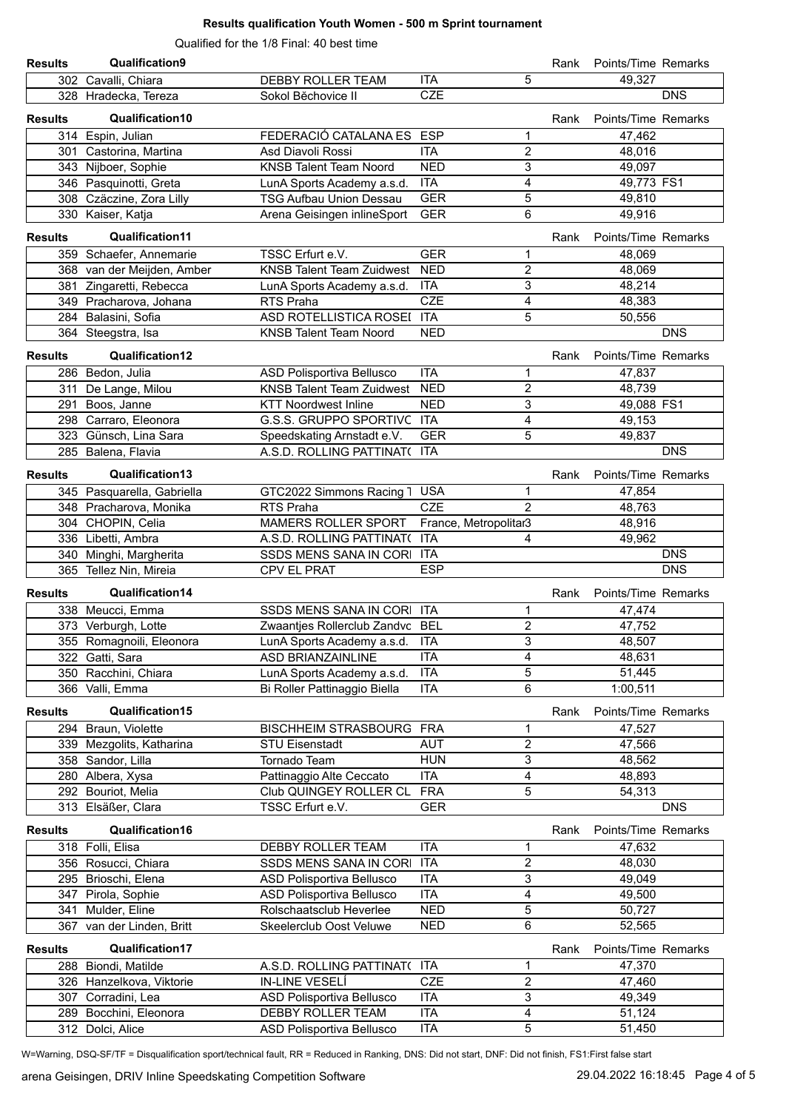### **Results qualification Youth Women - 500 m Sprint tournament**

Qualified for the 1/8 Final: 40 best time

| <b>Results</b> | Qualification9             |                                  |                       |                | Rank | Points/Time Remarks |            |
|----------------|----------------------------|----------------------------------|-----------------------|----------------|------|---------------------|------------|
|                | 302 Cavalli, Chiara        | <b>DEBBY ROLLER TEAM</b>         | <b>ITA</b>            | 5              |      | 49,327              |            |
|                | 328 Hradecka, Tereza       | Sokol Běchovice II               | <b>CZE</b>            |                |      |                     | <b>DNS</b> |
| <b>Results</b> | <b>Qualification10</b>     |                                  |                       |                | Rank | Points/Time Remarks |            |
|                | 314 Espin, Julian          | FEDERACIÓ CATALANA ES            | <b>ESP</b>            | 1              |      | 47,462              |            |
| 301            | Castorina, Martina         | Asd Diavoli Rossi                | <b>ITA</b>            | $\overline{2}$ |      | 48,016              |            |
|                | 343 Nijboer, Sophie        | <b>KNSB Talent Team Noord</b>    | <b>NED</b>            | 3              |      | 49,097              |            |
|                | 346 Pasquinotti, Greta     | LunA Sports Academy a.s.d.       | <b>ITA</b>            | 4              |      | 49,773 FS1          |            |
|                | 308 Czäczine, Zora Lilly   | <b>TSG Aufbau Union Dessau</b>   | <b>GER</b>            | 5              |      | 49,810              |            |
|                | 330 Kaiser, Katja          | Arena Geisingen inlineSport      | <b>GER</b>            | 6              |      | 49,916              |            |
|                |                            |                                  |                       |                |      |                     |            |
| <b>Results</b> | <b>Qualification11</b>     |                                  |                       |                | Rank | Points/Time Remarks |            |
|                | 359 Schaefer, Annemarie    | TSSC Erfurt e.V.                 | <b>GER</b>            | 1              |      | 48,069              |            |
|                | 368 van der Meijden, Amber | <b>KNSB Talent Team Zuidwest</b> | <b>NED</b>            | $\overline{2}$ |      | 48,069              |            |
|                | 381 Zingaretti, Rebecca    | LunA Sports Academy a.s.d.       | <b>ITA</b>            | 3              |      | 48,214              |            |
|                | 349 Pracharova, Johana     | RTS Praha                        | <b>CZE</b>            | 4              |      | 48,383              |            |
|                | 284 Balasini, Sofia        | ASD ROTELLISTICA ROSEI ITA       |                       | 5              |      | 50,556              |            |
|                | 364 Steegstra, Isa         | <b>KNSB Talent Team Noord</b>    | <b>NED</b>            |                |      |                     | <b>DNS</b> |
| <b>Results</b> | Qualification12            |                                  |                       |                | Rank | Points/Time Remarks |            |
|                | 286 Bedon, Julia           | ASD Polisportiva Bellusco        | <b>ITA</b>            | 1              |      | 47,837              |            |
| 311            | De Lange, Milou            | <b>KNSB Talent Team Zuidwest</b> | <b>NED</b>            | $\overline{2}$ |      | 48,739              |            |
| 291            | Boos, Janne                | <b>KTT Noordwest Inline</b>      | <b>NED</b>            | 3              |      | 49,088 FS1          |            |
|                | 298 Carraro, Eleonora      | G.S.S. GRUPPO SPORTIVC ITA       |                       | 4              |      | 49,153              |            |
|                | 323 Günsch, Lina Sara      | Speedskating Arnstadt e.V.       | <b>GER</b>            | 5              |      | 49,837              |            |
|                | 285 Balena, Flavia         | A.S.D. ROLLING PATTINAT( ITA     |                       |                |      |                     | <b>DNS</b> |
| <b>Results</b> | Qualification13            |                                  |                       |                | Rank | Points/Time Remarks |            |
|                | 345 Pasquarella, Gabriella | GTC2022 Simmons Racing 1         | <b>USA</b>            | 1              |      | 47,854              |            |
|                | 348 Pracharova, Monika     | RTS Praha                        | <b>CZE</b>            | $\mathcal{P}$  |      | 48,763              |            |
|                | 304 CHOPIN, Celia          | <b>MAMERS ROLLER SPORT</b>       | France, Metropolitar3 |                |      | 48,916              |            |
|                | 336 Libetti, Ambra         | A.S.D. ROLLING PATTINAT( ITA     |                       | 4              |      | 49,962              |            |
|                | 340 Minghi, Margherita     | SSDS MENS SANA IN CORI ITA       |                       |                |      |                     | <b>DNS</b> |
|                |                            |                                  |                       |                |      |                     |            |
|                | 365 Tellez Nin, Mireia     | CPV EL PRAT                      | <b>ESP</b>            |                |      |                     | <b>DNS</b> |
|                |                            |                                  |                       |                |      |                     |            |
| <b>Results</b> | Qualification14            |                                  |                       |                | Rank | Points/Time Remarks |            |
|                | 338 Meucci, Emma           | SSDS MENS SANA IN CORI ITA       |                       | 1              |      | 47,474              |            |
|                | 373 Verburgh, Lotte        | Zwaantjes Rollerclub Zandvc BEL  |                       | 2              |      | 47,752              |            |
|                | 355 Romagnoili, Eleonora   | LunA Sports Academy a.s.d.       | <b>ITA</b>            | 3              |      | 48,507              |            |
|                | 322 Gatti, Sara            | ASD BRIANZAINLINE                | <b>ITA</b>            | 4              |      | 48,631              |            |
|                | 350 Racchini, Chiara       | LunA Sports Academy a.s.d.       | <b>ITA</b>            | 5              |      | 51,445              |            |
|                | 366 Valli, Emma            | Bi Roller Pattinaggio Biella     | <b>ITA</b>            | 6              |      | 1:00,511            |            |
| <b>Results</b> | Qualification15            |                                  |                       |                | Rank | Points/Time Remarks |            |
|                | 294 Braun, Violette        | BISCHHEIM STRASBOURG FRA         |                       | 1              |      | 47,527              |            |
|                | 339 Mezgolits, Katharina   | <b>STU Eisenstadt</b>            | <b>AUT</b>            | 2              |      | 47,566              |            |
|                | 358 Sandor, Lilla          | Tornado Team                     | <b>HUN</b>            | 3              |      | 48,562              |            |
|                | 280 Albera, Xysa           | Pattinaggio Alte Ceccato         | <b>ITA</b>            | 4              |      | 48,893              |            |
|                | 292 Bouriot, Melia         | Club QUINGEY ROLLER CL           | <b>FRA</b>            | 5              |      | 54,313              |            |
|                | 313 Elsäßer, Clara         | TSSC Erfurt e.V.                 | <b>GER</b>            |                |      |                     | <b>DNS</b> |
| <b>Results</b> | Qualification16            |                                  |                       |                | Rank | Points/Time Remarks |            |
|                | 318 Folli, Elisa           | DEBBY ROLLER TEAM                | <b>ITA</b>            | 1              |      | 47,632              |            |
|                | 356 Rosucci, Chiara        | SSDS MENS SANA IN CORI ITA       |                       | $\overline{2}$ |      | 48,030              |            |
|                | 295 Brioschi, Elena        | ASD Polisportiva Bellusco        | <b>ITA</b>            | $\sqrt{3}$     |      | 49,049              |            |
|                | 347 Pirola, Sophie         | ASD Polisportiva Bellusco        | <b>ITA</b>            | 4              |      | 49,500              |            |
|                | 341 Mulder, Eline          | Rolschaatsclub Heverlee          | <b>NED</b>            | 5              |      | 50,727              |            |
|                | 367 van der Linden, Britt  | Skeelerclub Oost Veluwe          | <b>NED</b>            | 6              |      | 52,565              |            |
| <b>Results</b> | <b>Qualification17</b>     |                                  |                       |                | Rank | Points/Time Remarks |            |
|                | 288 Biondi, Matilde        | A.S.D. ROLLING PATTINAT( ITA     |                       | 1              |      | 47,370              |            |
|                | 326 Hanzelkova, Viktorie   | IN-LINE VESELÍ                   | <b>CZE</b>            | 2              |      | 47,460              |            |
|                | 307 Corradini, Lea         | ASD Polisportiva Bellusco        | <b>ITA</b>            | 3              |      | 49,349              |            |
|                | 289 Bocchini, Eleonora     | DEBBY ROLLER TEAM                | <b>ITA</b>            | 4              |      | 51,124              |            |

W=Warning, DSQ-SF/TF = Disqualification sport/technical fault, RR = Reduced in Ranking, DNS: Did not start, DNF: Did not finish, FS1:First false start